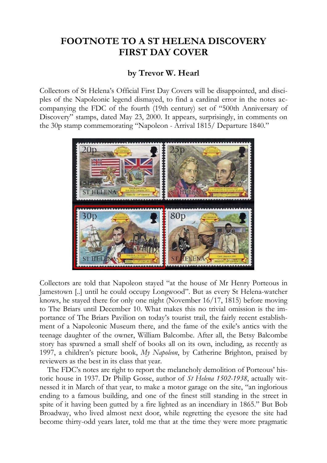## **FOOTNOTE TO A ST HELENA DISCOVERY FIRST DAY COVER**

## **by Trevor W. Hearl**

Collectors of St Helena's Official First Day Covers will be disappointed, and disciples of the Napoleonic legend dismayed, to find a cardinal error in the notes accompanying the FDC of the fourth (19th century) set of "500th Anniversary of Discovery" stamps, dated May 23, 2000. It appears, surprisingly, in comments on the 30p stamp commemorating "Napoleon - Arrival 1815/ Departure 1840."



Collectors are told that Napoleon stayed "at the house of Mr Henry Porteous in Jamestown [..] until he could occupy Longwood". But as every St Helena-watcher knows, he stayed there for only one night (November 16/17, 1815) before moving to The Briars until December 10. What makes this no trivial omission is the importance of The Briars Pavilion on today's tourist trail, the fairly recent establishment of a Napoleonic Museum there, and the fame of the exile's antics with the teenage daughter of the owner, William Balcombe. After all, the Betsy Balcombe story has spawned a small shelf of books all on its own, including, as recently as 1997, a children's picture book, *My Napoleon*, by Catherine Brighton, praised by reviewers as the best in its class that year.

The FDC's notes are right to report the melancholy demolition of Porteous' historic house in 1937. Dr Philip Gosse, author of *St Helena 1502-1938*, actually witnessed it in March of that year, to make a motor garage on the site, "an inglorious ending to a famous building, and one of the finest still standing in the street in spite of it having been gutted by a fire lighted as an incendiary in 1865." But Bob Broadway, who lived almost next door, while regretting the eyesore the site had become thirty-odd years later, told me that at the time they were more pragmatic